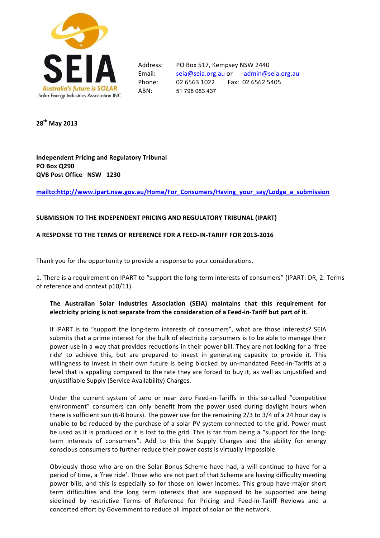

ABN: 51 798 083 437

Address: PO Box 517, Kempsey NSW 2440 Email: seia@seia.org.au or admin@seia.org.au !!!!!Phone: 02!6563!1022!!!!!!!!Fax:!!02!6562!5405

**28th!May!2013**

**Independent Pricing and Regulatory Tribunal PO!Box!Q290 QVB Post Office NSW 1230** 

**mailto:http://www.ipart.nsw.gov.au/Home/For\_Consumers/Having\_your\_say/Lodge\_a\_submission**

### SUBMISSION TO THE INDEPENDENT PRICING AND REGULATORY TRIBUNAL (IPART)

# **A RESPONSE TO THE TERMS OF REFERENCE FOR A FEED-IN-TARIFF FOR 2013-2016**

Thank you for the opportunity to provide a response to your considerations.

1. There is a requirement on IPART to "support the long-term interests of consumers" (IPART: DR, 2. Terms of reference and context p10/11).

# The Australian Solar Industries Association (SEIA) maintains that this requirement for electricity pricing is not separate from the consideration of a Feed-in-Tariff but part of it.

If IPART is to "support the long-term interests of consumers", what are those interests? SEIA submits that a prime interest for the bulk of electricity consumers is to be able to manage their power use in a way that provides reductions in their power bill. They are not looking for a 'free ride' to achieve this, but are prepared to invest in generating capacity to provide it. This willingness to invest in their own future is being blocked by un-mandated Feed-in-Tariffs at a level that is appalling compared to the rate they are forced to buy it, as well as unjustified and unjustifiable Supply (Service Availability) Charges.

Under the current system of zero or near zero Feed-in-Tariffs in this so-called "competitive environment" consumers can only benefit from the power used during daylight hours when there is sufficient sun (6-8 hours). The power use for the remaining  $2/3$  to  $3/4$  of a 24 hour day is unable to be reduced by the purchase of a solar PV system connected to the grid. Power must be used as it is produced or it is lost to the grid. This is far from being a "support for the longterm interests of consumers". Add to this the Supply Charges and the ability for energy conscious consumers to further reduce their power costs is virtually impossible.

Obviously those who are on the Solar Bonus Scheme have had, a will continue to have for a period of time, a 'free ride'. Those who are not part of that Scheme are having difficulty meeting power bills, and this is especially so for those on lower incomes. This group have major short term difficulties and the long term interests that are supposed to be supported are being sidelined by restrictive Terms of Reference for Pricing and Feed-in-Tariff Reviews and a concerted effort by Government to reduce all impact of solar on the network.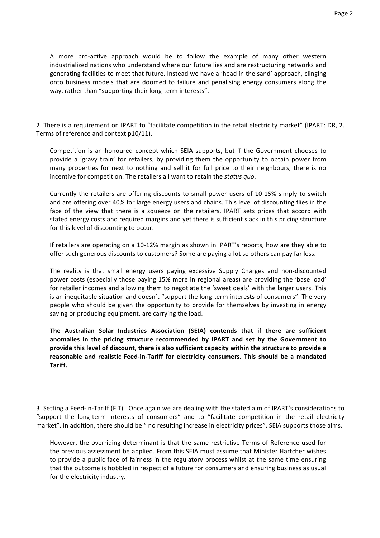A more pro-active approach would be to follow the example of many other western industrialized nations who understand where our future lies and are restructuring networks and generating facilities to meet that future. Instead we have a 'head in the sand' approach, clinging onto business models that are doomed to failure and penalising energy consumers along the

2. There is a requirement on IPART to "facilitate competition in the retail electricity market" (IPART: DR, 2. Terms of reference and context p10/11).

way, rather than "supporting their long-term interests".

Competition is an honoured concept which SEIA supports, but if the Government chooses to provide a 'gravy train' for retailers, by providing them the opportunity to obtain power from many properties for next to nothing and sell it for full price to their neighbours, there is no incentive for competition. The retailers all want to retain the *status quo*.

Currently the retailers are offering discounts to small power users of 10-15% simply to switch and are offering over 40% for large energy users and chains. This level of discounting flies in the face of the view that there is a squeeze on the retailers. IPART sets prices that accord with stated energy costs and required margins and yet there is sufficient slack in this pricing structure for this level of discounting to occur.

If retailers are operating on a 10-12% margin as shown in IPART's reports, how are they able to offer such generous discounts to customers? Some are paying a lot so others can pay far less.

The reality is that small energy users paying excessive Supply Charges and non-discounted power costs (especially those paying 15% more in regional areas) are providing the 'base load' for retailer incomes and allowing them to negotiate the 'sweet deals' with the larger users. This is an inequitable situation and doesn't "support the long-term interests of consumers". The very people who should be given the opportunity to provide for themselves by investing in energy saving or producing equipment, are carrying the load.

The Australian Solar Industries Association (SEIA) contends that if there are sufficient anomalies in the pricing structure recommended by IPART and set by the Government to provide this level of discount, there is also sufficient capacity within the structure to provide a reasonable and realistic Feed-in-Tariff for electricity consumers. This should be a mandated **Tariff.**

3. Setting a Feed-in-Tariff (FiT). Once again we are dealing with the stated aim of IPART's considerations to "support the long-term interests of consumers" and to "facilitate competition in the retail electricity market". In addition, there should be " no resulting increase in electricity prices". SEIA supports those aims.

However, the overriding determinant is that the same restrictive Terms of Reference used for the previous assessment be applied. From this SEIA must assume that Minister Hartcher wishes to provide a public face of fairness in the regulatory process whilst at the same time ensuring that the outcome is hobbled in respect of a future for consumers and ensuring business as usual for the electricity industry.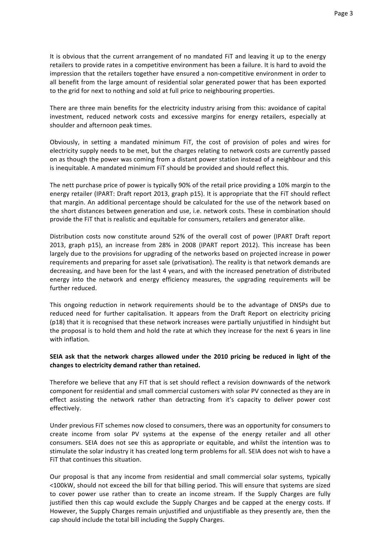It is obvious that the current arrangement of no mandated FiT and leaving it up to the energy retailers to provide rates in a competitive environment has been a failure. It is hard to avoid the impression that the retailers together have ensured a non-competitive environment in order to all benefit from the large amount of residential solar generated power that has been exported to the grid for next to nothing and sold at full price to neighbouring properties.

There are three main benefits for the electricity industry arising from this: avoidance of capital investment, reduced network costs and excessive margins for energy retailers, especially at shoulder and afternoon peak times.

Obviously, in setting a mandated minimum FiT, the cost of provision of poles and wires for electricity supply needs to be met, but the charges relating to network costs are currently passed on as though the power was coming from a distant power station instead of a neighbour and this is inequitable. A mandated minimum FiT should be provided and should reflect this.

The nett purchase price of power is typically 90% of the retail price providing a 10% margin to the energy retailer (IPART: Draft report 2013, graph p15). It is appropriate that the FiT should reflect that margin. An additional percentage should be calculated for the use of the network based on the short distances between generation and use, i.e. network costs. These in combination should provide the FiT that is realistic and equitable for consumers, retailers and generator alike.

Distribution costs now constitute around 52% of the overall cost of power (IPART Draft report 2013, graph p15), an increase from 28% in 2008 (IPART report 2012). This increase has been largely due to the provisions for upgrading of the networks based on projected increase in power requirements and preparing for asset sale (privatisation). The reality is that network demands are decreasing, and have been for the last 4 years, and with the increased penetration of distributed energy into the network and energy efficiency measures, the upgrading requirements will be further reduced.

This ongoing reduction in network requirements should be to the advantage of DNSPs due to reduced need for further capitalisation. It appears from the Draft Report on electricity pricing (p18) that it is recognised that these network increases were partially unjustified in hindsight but the proposal is to hold them and hold the rate at which they increase for the next 6 years in line with inflation.

# SEIA ask that the network charges allowed under the 2010 pricing be reduced in light of the changes to electricity demand rather than retained.

Therefore we believe that any FIT that is set should reflect a revision downwards of the network component for residential and small commercial customers with solar PV connected as they are in effect assisting the network rather than detracting from it's capacity to deliver power cost effectively.

Under previous FiT schemes now closed to consumers, there was an opportunity for consumers to create income from solar PV systems at the expense of the energy retailer and all other consumers. SEIA does not see this as appropriate or equitable, and whilst the intention was to stimulate the solar industry it has created long term problems for all. SEIA does not wish to have a FiT that continues this situation

Our proposal is that any income from residential and small commercial solar systems, typically <100kW, should not exceed the bill for that billing period. This will ensure that systems are sized to cover power use rather than to create an income stream. If the Supply Charges are fully justified then this cap would exclude the Supply Charges and be capped at the energy costs. If However, the Supply Charges remain unjustified and unjustifiable as they presently are, then the cap should include the total bill including the Supply Charges.